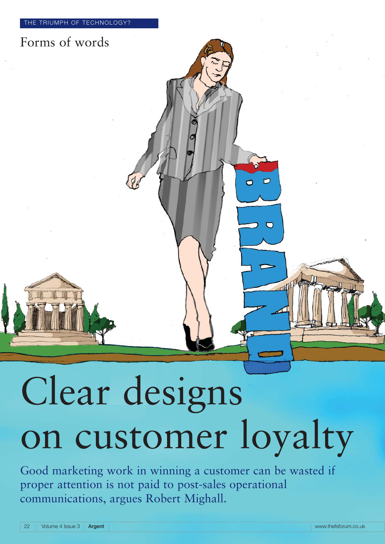

# Clear designs on customer loyalty

Good marketing work in winning a customer can be wasted if proper attention is not paid to post-sales operational communications, argues Robert Mighall.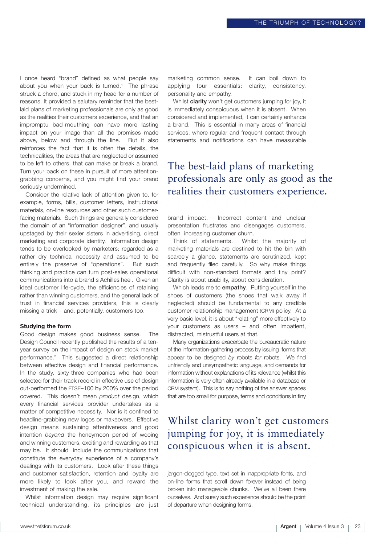I once heard "brand" defined as what people say about you when your back is turned.<sup>1</sup> The phrase struck a chord, and stuck in my head for a number of reasons. It provided a salutary reminder that the bestlaid plans of marketing professionals are only as good as the realities their customers experience, and that an impromptu bad-mouthing can have more lasting impact on your image than all the promises made above, below and through the line. But it also reinforces the fact that it is often the details, the technicalities, the areas that are neglected or assumed to be left to others, that can make or break a brand. Turn your back on these in pursuit of more attentiongrabbing concerns, and you might find your brand seriously undermined.

Consider the relative lack of attention given to, for example, forms, bills, customer letters, instructional materials, on-line resources and other such customerfacing materials. Such things are generally considered the domain of an "information designer", and usually upstaged by their sexier sisters in advertising, direct marketing and corporate identity. Information design tends to be overlooked by marketers; regarded as a rather dry technical necessity and assumed to be entirely the preserve of "operations". But such thinking and practice can turn post-sales operational communications into a brand's Achilles heel. Given an ideal customer life-cycle, the efficiencies of retaining rather than winning customers, and the general lack of trust in financial services providers, this is clearly missing a trick – and, potentially, customers too.

#### **Studying the form**

Good design makes good business sense. The Design Council recently published the results of a tenyear survey on the impact of design on stock market performance.2 This suggested a direct relationship between effective design and financial performance. In the study, sixty-three companies who had been selected for their track record in effective use of design out-performed the FTSE–100 by 200% over the period covered. This doesn't mean *product* design, which every financial services provider undertakes as a matter of competitive necessity. Nor is it confined to headline-grabbing new logos or makeovers. Effective design means sustaining attentiveness and good intention *beyond* the honeymoon period of wooing and winning customers, exciting and rewarding as that may be. It should include the communications that constitute the everyday experience of a company's dealings with its customers. Look after these things and customer satisfaction, retention and loyalty are more likely to look after you, and reward the investment of making the sale.

Whilst information design may require significant technical understanding, its principles are just marketing common sense. It can boil down to applying four essentials: clarity, consistency, personality and empathy.

Whilst **clarity** won't get customers jumping for joy, it is immediately conspicuous when it is absent. When considered and implemented, it can certainly enhance a brand. This is essential in many areas of financial services, where regular and frequent contact through statements and notifications can have measurable

#### The best-laid plans of marketing professionals are only as good as the realities their customers experience.

brand impact. Incorrect content and unclear presentation frustrates and disengages customers, often increasing customer churn.

Think of statements. Whilst the majority of marketing materials are destined to hit the bin with scarcely a glance, statements are scrutinized, kept and frequently filed carefully. So why make things difficult with non-standard formats and tiny print? Clarity is about usability, about consideration.

Which leads me to **empathy**. Putting yourself in the shoes of customers (the shoes that walk away if neglected) should be fundamental to any credible customer relationship management (CRM) policy. At a very basic level, it is about "relating" more effectively to your customers as users – and often impatient, distracted, mistrustful users at that.

Many organizations exacerbate the bureaucratic nature of the information-gathering process by issuing forms that appear to be designed *by* robots *for* robots. We find unfriendly and unsympathetic language, and demands for information without explanations of its relevance (whilst this information is very often already available in a database or CRM system). This is to say nothing of the answer spaces that are too small for purpose, terms and conditions in tiny

#### Whilst clarity won't get customers jumping for joy, it is immediately conspicuous when it is absent.

jargon-clogged type, text set in inappropriate fonts, and on-line forms that scroll down forever instead of being broken into manageable chunks. We've all been there ourselves. And surely such experience should be the point of departure when designing forms.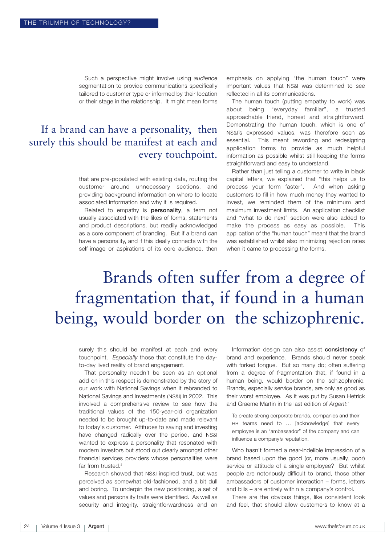Such a perspective might involve using *audience* segmentation to provide communications specifically tailored to customer type or informed by their location or their stage in the relationship. It might mean forms

## If a brand can have a personality, then surely this should be manifest at each and every touchpoint.

that are pre-populated with existing data, routing the customer around unnecessary sections, and providing background information on where to locate associated information and why it is required.

Related to empathy is **personality**, a term not usually associated with the likes of forms, statements and product descriptions, but readily acknowledged as a core component of branding. But if a brand can have a personality, and if this ideally connects with the self-image or aspirations of its core audience, then emphasis on applying "the human touch" were important values that NS&I was determined to see reflected in all its communications.

The human touch (putting empathy to work) was about being "everyday familiar", a trusted approachable friend, honest and straightforward. Demonstrating the human touch, which is one of NS&I's expressed values, was therefore seen as essential. This meant rewording and redesigning application forms to provide as much helpful information as possible whilst still keeping the forms straightforward and easy to understand.

Rather than just telling a customer to write in black capital letters, we explained that "this helps us to process your form faster". And when asking customers to fill in how much money they wanted to invest, we reminded them of the minimum and maximum investment limits. An application checklist and "what to do next" section were also added to make the process as easy as possible. This application of the "human touch" meant that the brand was established whilst also minimizing rejection rates when it came to processing the forms.

# Brands often suffer from a degree of fragmentation that, if found in a human being, would border on the schizophrenic.

surely this should be manifest at each and every touchpoint. *Especially* those that constitute the dayto-day lived reality of brand engagement.

That personality needn't be seen as an optional add-on in this respect is demonstrated by the story of our work with National Savings when it rebranded to National Savings and Investments (NS&I) in 2002. This involved a comprehensive review to see how the traditional values of the 150-year-old organization needed to be brought up-to-date and made relevant to today's customer. Attitudes to saving and investing have changed radically over the period, and NS&I wanted to express a personality that resonated with modern investors but stood out clearly amongst other financial services providers whose personalities were far from trusted.<sup>3</sup>

Research showed that NS&I inspired trust, but was perceived as somewhat old-fashioned, and a bit dull and boring. To underpin the new positioning, a set of values and personality traits were identified. As well as security and integrity, straightforwardness and an

Information design can also assist **consistency** of brand and experience. Brands should never speak with forked tongue. But so many do; often suffering from a degree of fragmentation that, if found in a human being, would border on the schizophrenic. Brands, especially service brands, are only as good as their worst employee. As it was put by Susan Hetrick and Graeme Martin in the last edition of *Argent*: 4

To create strong corporate brands, companies and their HR teams need to … [acknowledge] that every employee is an "ambassador" of the company and can influence a company's reputation.

Who hasn't formed a near-indelible impression of a brand based upon the good (or, more usually, poor) service or attitude of a single employee? But whilst people are notoriously difficult to brand, those other ambassadors of customer interaction – forms, letters and bills – are entirely within a company's control.

There are the obvious things, like consistent look and feel, that should allow customers to know at a